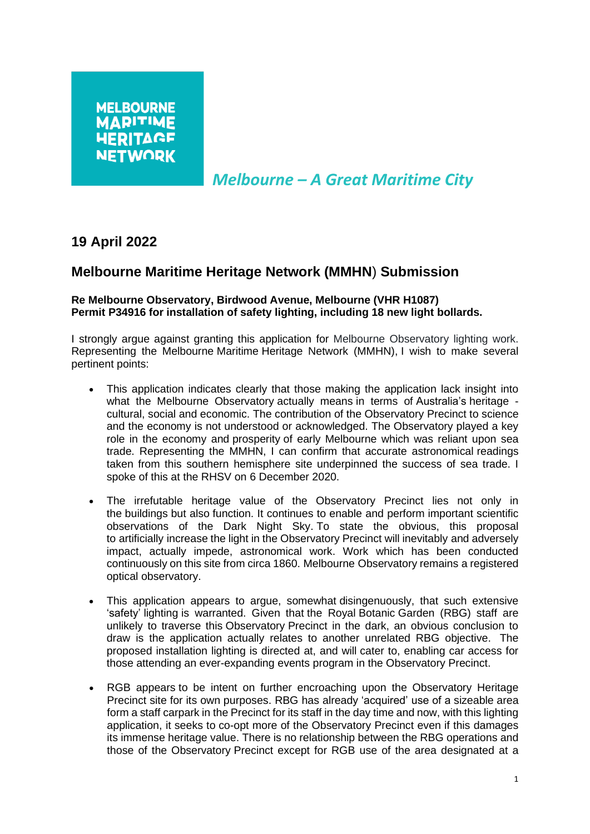*Melbourne – A Great Maritime City*

## **19 April 2022**

## **Melbourne Maritime Heritage Network (MMHN**) **Submission**

## **Re Melbourne Observatory, Birdwood Avenue, Melbourne (VHR H1087) Permit P34916 for installation of safety lighting, including 18 new light bollards.**

I strongly argue against granting this application for Melbourne Observatory lighting work. Representing the Melbourne Maritime Heritage Network (MMHN), I wish to make several pertinent points:

- This application indicates clearly that those making the application lack insight into what the Melbourne Observatory actually means in terms of Australia's heritage cultural, social and economic. The contribution of the Observatory Precinct to science and the economy is not understood or acknowledged. The Observatory played a key role in the economy and prosperity of early Melbourne which was reliant upon sea trade. Representing the MMHN, I can confirm that accurate astronomical readings taken from this southern hemisphere site underpinned the success of sea trade. I spoke of this at the RHSV on 6 December 2020.
- The irrefutable heritage value of the Observatory Precinct lies not only in the buildings but also function. It continues to enable and perform important scientific observations of the Dark Night Sky. To state the obvious, this proposal to artificially increase the light in the Observatory Precinct will inevitably and adversely impact, actually impede, astronomical work. Work which has been conducted continuously on this site from circa 1860. Melbourne Observatory remains a registered optical observatory.
- This application appears to argue, somewhat disingenuously, that such extensive 'safety' lighting is warranted. Given that the Royal Botanic Garden (RBG) staff are unlikely to traverse this Observatory Precinct in the dark, an obvious conclusion to draw is the application actually relates to another unrelated RBG objective. The proposed installation lighting is directed at, and will cater to, enabling car access for those attending an ever-expanding events program in the Observatory Precinct.
- RGB appears to be intent on further encroaching upon the Observatory Heritage Precinct site for its own purposes. RBG has already 'acquired' use of a sizeable area form a staff carpark in the Precinct for its staff in the day time and now, with this lighting application, it seeks to co-opt more of the Observatory Precinct even if this damages its immense heritage value. There is no relationship between the RBG operations and those of the Observatory Precinct except for RGB use of the area designated at a